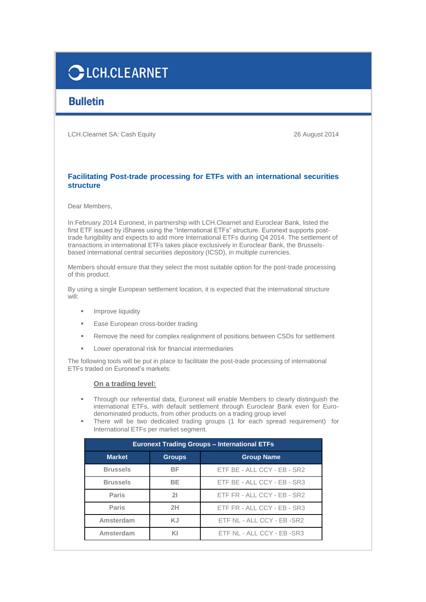# **CLCH.CLEARNET**

# **Bulletin**

LCH.Clearnet SA: Cash Equity 26 August 2014

## **Facilitating Post-trade processing for ETFs with an international securities structure**

Dear Members,

In February 2014 Euronext, in partnership with LCH.Clearnet and Euroclear Bank, listed the first ETF issued by iShares using the "International ETFs" structure. Euronext supports posttrade fungibility and expects to add more International ETFs during Q4 2014. The settlement of transactions in international ETFs takes place exclusively in Euroclear Bank, the Brusselsbased international central securities depository (ICSD), in multiple currencies.

Members should ensure that they select the most suitable option for the post-trade processing of this product.

By using a single European settlement location, it is expected that the international structure will:

- **Improve liquidity**
- Ease European cross-border trading
- Remove the need for complex realignment of positions between CSDs for settlement
- **Lower operational risk for financial intermediaries**

The following tools will be put in place to facilitate the post-trade processing of international ETFs traded on Euronext's markets:

### **On a trading level:**

- Through our referential data, Euronext will enable Members to clearly distinguish the international ETFs, with default settlement through Euroclear Bank even for Eurodenominated products, from other products on a trading group level
- There will be two dedicated trading groups (1 for each spread requirement) for International ETFs per market segment.

| <b>Euronext Trading Groups - International ETFs</b> |               |                             |
|-----------------------------------------------------|---------------|-----------------------------|
| <b>Market</b>                                       | <b>Groups</b> | <b>Group Name</b>           |
| <b>Brussels</b>                                     | ВF            | ETF BE - ALL CCY - EB - SR2 |
| <b>Brussels</b>                                     | <b>BE</b>     | ETF BE - ALL CCY - EB - SR3 |
| <b>Paris</b>                                        | 21            | ETF FR - ALL CCY - EB - SR2 |
| <b>Paris</b>                                        | 2H            | ETF FR - ALL CCY - EB - SR3 |
| Amsterdam                                           | KJ            | ETF NL - ALL CCY - EB -SR2  |
| Amsterdam                                           | KI            | ETF NL - ALL CCY - EB -SR3  |